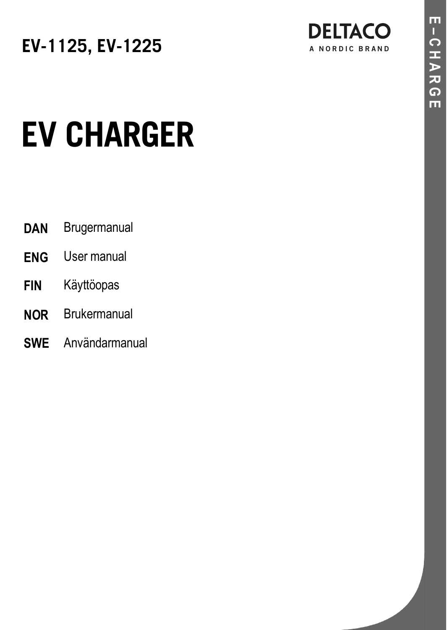**DELTACO** 

### **EV-1125, EV-1225**

# **EV CHARGER**

- Brugermanual **DAN**
- User manual **ENG**
- Käyttöopas **FIN**
- Brukermanual **NOR**
- Användarmanual **SWE**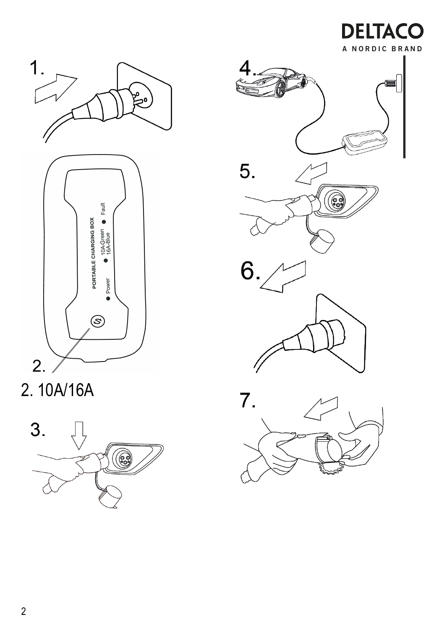









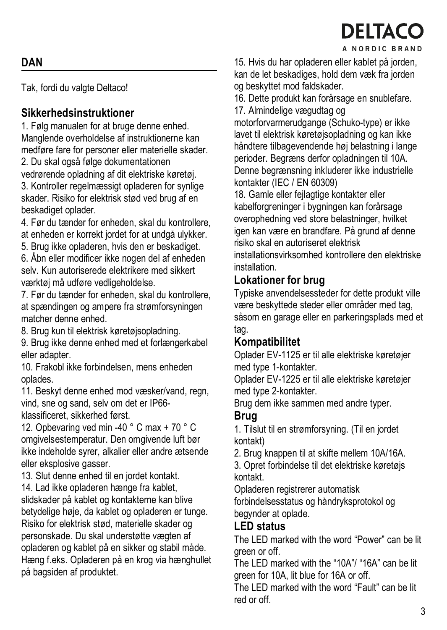#### **DAN**

Tak, fordi du valgte Deltaco!

#### **Sikkerhedsinstruktioner**

1. Følg manualen for at bruge denne enhed. Manglende overholdelse af instruktionerne kan medføre fare for personer eller materielle skader. 2. Du skal også følge dokumentationen vedrørende opladning af dit elektriske køretøj. 3. Kontroller regelmæssigt opladeren for synlige skader. Risiko for elektrisk stød ved brug af en beskadiget oplader.

4. Før du tænder for enheden, skal du kontrollere, at enheden er korrekt jordet for at undgå ulykker.

5. Brug ikke opladeren, hvis den er beskadiget.

6. Åbn eller modificer ikke nogen del af enheden selv. Kun autoriserede elektrikere med sikkert værktøj må udføre vedligeholdelse.

7. Før du tænder for enheden, skal du kontrollere, at spændingen og ampere fra strømforsyningen matcher denne enhed.

8. Brug kun til elektrisk køretøjsopladning.

9. Brug ikke denne enhed med et forlængerkabel eller adapter.

10. Frakobl ikke forbindelsen, mens enheden oplades.

11. Beskyt denne enhed mod væsker/vand, regn, vind, sne og sand, selv om det er IP66 klassificeret, sikkerhed først.

12. Opbevaring ved min -40 ° C max + 70 ° C omgivelsestemperatur. Den omgivende luft bør ikke indeholde syrer, alkalier eller andre ætsende eller eksplosive gasser.

13. Slut denne enhed til en jordet kontakt.

14. Lad ikke opladeren hænge fra kablet, slidskader på kablet og kontakterne kan blive betydelige høje, da kablet og opladeren er tunge. Risiko for elektrisk stød, materielle skader og personskade. Du skal understøtte vægten af opladeren og kablet på en sikker og stabil måde. Hæng f.eks. Opladeren på en krog via hænghullet på bagsiden af produktet.

**DELTACC** 

A NORDIC BRAND

15. Hvis du har opladeren eller kablet på jorden, kan de let beskadiges, hold dem væk fra jorden og beskyttet mod faldskader.

16. Dette produkt kan forårsage en snublefare.

17. Almindelige vægudtag og

motorforvarmerudgange (Schuko-type) er ikke lavet til elektrisk køretøjsopladning og kan ikke håndtere tilbagevendende høj belastning i lange perioder. Begræns derfor opladningen til 10A. Denne begrænsning inkluderer ikke industrielle kontakter (IEC / EN 60309)

18. Gamle eller fejlagtige kontakter eller kabelforgreninger i bygningen kan forårsage overophedning ved store belastninger, hvilket igen kan være en brandfare. På grund af denne risiko skal en autoriseret elektrisk

installationsvirksomhed kontrollere den elektriske installation.

#### **Lokationer for brug**

Typiske anvendelsessteder for dette produkt ville være beskyttede steder eller områder med tag, såsom en garage eller en parkeringsplads med et tag.

#### **Kompatibilitet**

Oplader EV-1125 er til alle elektriske køretøjer med type 1-kontakter.

Oplader EV-1225 er til alle elektriske køretøjer med type 2-kontakter.

Brug dem ikke sammen med andre typer.

#### **Brug**

1. Tilslut til en strømforsyning. (Til en jordet kontakt)

2. Brug knappen til at skifte mellem 10A/16A.

3. Opret forbindelse til det elektriske køretøjs kontakt.

Opladeren registrerer automatisk

forbindelsesstatus og håndryksprotokol og begynder at oplade.

### **LED status**

The LED marked with the word "Power" can be lit green or off.

The LED marked with the "10A"/ "16A" can be lit green for 10A, lit blue for 16A or off.

The LED marked with the word "Fault" can be lit red or off.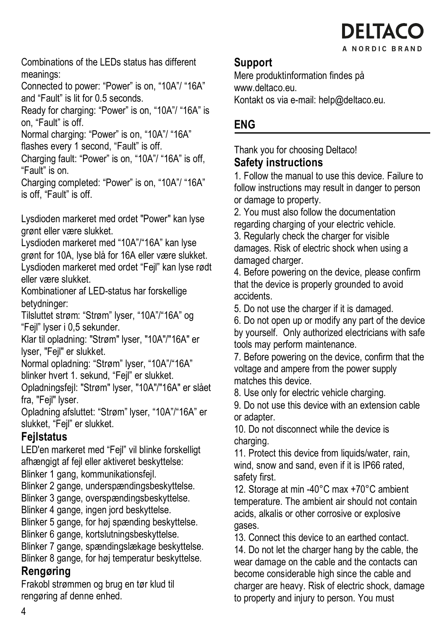

Combinations of the LEDs status has different meanings:

Connected to power: "Power" is on, "10A"/ "16A" and "Fault" is lit for 0.5 seconds.

Ready for charging: "Power" is on, "10A"/ "16A" is on, "Fault" is off.

Normal charging: "Power" is on, "10A"/ "16A" flashes every 1 second, "Fault" is off.

Charging fault: "Power" is on, "10A"/ "16A" is off, "Fault" is on.

Charging completed: "Power" is on, "10A"/ "16A" is off, "Fault" is off.

Lysdioden markeret med ordet "Power" kan lyse grønt eller være slukket.

Lysdioden markeret med "10A"/"16A" kan lyse grønt for 10A, lyse blå for 16A eller være slukket. Lysdioden markeret med ordet "Fejl" kan lyse rødt eller være slukket.

Kombinationer af LED-status har forskellige betydninger:

Tilsluttet strøm: "Strøm" lyser, "10A"/"16A" og "Fejl" lyser i 0,5 sekunder.

Klar til opladning: "Strøm" lyser, "10A"/"16A" er lyser, "Fejl" er slukket.

Normal opladning: "Strøm" lyser, "10A"/"16A"

blinker hvert 1. sekund, "Fejl" er slukket.

Opladningsfejl: "Strøm" lyser, "10A"/"16A" er slået fra. "Feil" lyser.

Opladning afsluttet: "Strøm" lyser, "10A"/"16A" er slukket, "Fejl" er slukket.

#### **Fejlstatus**

LED'en markeret med "Fejl" vil blinke forskelligt afhængigt af fejl eller aktiveret beskyttelse:

Blinker 1 gang, kommunikationsfejl.

Blinker 2 gange, underspændingsbeskyttelse.

Blinker 3 gange, overspændingsbeskyttelse.

Blinker 4 gange, ingen jord beskyttelse.

Blinker 5 gange, for høj spænding beskyttelse.

Blinker 6 gange, kortslutningsbeskyttelse.

Blinker 7 gange, spændingslækage beskyttelse. Blinker 8 gange, for høj temperatur beskyttelse.

#### **Rengøring**

Frakobl strømmen og brug en tør klud til rengøring af denne enhed.

#### **Support**

Mere produktinformation findes på www.deltaco.eu.

Kontakt os via e-mail: help@deltaco.eu.

#### **ENG**

Thank you for choosing Deltaco! **Safety instructions**

1. Follow the manual to use this device. Failure to follow instructions may result in danger to person or damage to property.

2. You must also follow the documentation regarding charging of your electric vehicle.

3. Regularly check the charger for visible damages. Risk of electric shock when using a damaged charger

4. Before powering on the device, please confirm that the device is properly grounded to avoid accidents.

5. Do not use the charger if it is damaged.

6. Do not open up or modify any part of the device by yourself. Only authorized electricians with safe tools may perform maintenance.

7. Before powering on the device, confirm that the voltage and ampere from the power supply matches this device.

8. Use only for electric vehicle charging.

9. Do not use this device with an extension cable or adapter.

10. Do not disconnect while the device is charging.

11. Protect this device from liquids/water, rain, wind, snow and sand, even if it is IP66 rated, safety first.

12. Storage at min -40°C max +70°C ambient temperature. The ambient air should not contain acids, alkalis or other corrosive or explosive gases.

13. Connect this device to an earthed contact.

14. Do not let the charger hang by the cable, the wear damage on the cable and the contacts can become considerable high since the cable and charger are heavy. Risk of electric shock, damage to property and injury to person. You must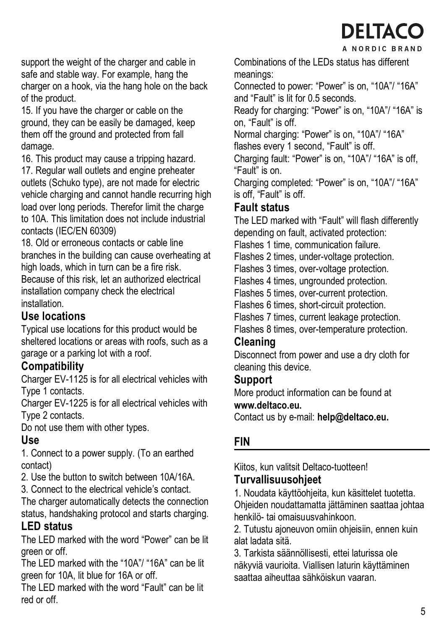### **DELTACO**

A NORDIC BRAND

support the weight of the charger and cable in safe and stable way. For example, hang the charger on a hook, via the hang hole on the back of the product.

15. If you have the charger or cable on the ground, they can be easily be damaged, keep them off the ground and protected from fall damage.

16. This product may cause a tripping hazard.

17. Regular wall outlets and engine preheater outlets (Schuko type), are not made for electric vehicle charging and cannot handle recurring high load over long periods. Therefor limit the charge to 10A. This limitation does not include industrial contacts (IEC/EN 60309)

18. Old or erroneous contacts or cable line branches in the building can cause overheating at high loads, which in turn can be a fire risk. Because of this risk, let an authorized electrical installation company check the electrical installation.

#### **Use locations**

Typical use locations for this product would be sheltered locations or areas with roofs, such as a garage or a parking lot with a roof.

#### **Compatibility**

Charger EV-1125 is for all electrical vehicles with Type 1 contacts.

Charger EV-1225 is for all electrical vehicles with Type 2 contacts.

Do not use them with other types.

#### **Use**

1. Connect to a power supply. (To an earthed contact)

2. Use the button to switch between 10A/16A.

3. Connect to the electrical vehicle's contact.

The charger automatically detects the connection status, handshaking protocol and starts charging. **LED status**

The LED marked with the word "Power" can be lit green or off.

The LED marked with the "10A"/ "16A" can be lit green for 10A, lit blue for 16A or off.

The LED marked with the word "Fault" can be lit red or off.

Combinations of the LEDs status has different meanings:

Connected to power: "Power" is on, "10A"/ "16A" and "Fault" is lit for 0.5 seconds.

Ready for charging: "Power" is on, "10A"/ "16A" is on, "Fault" is off.

Normal charging: "Power" is on, "10A"/ "16A" flashes every 1 second, "Fault" is off.

Charging fault: "Power" is on, "10A"/ "16A" is off, "Fault" is on.

Charging completed: "Power" is on, "10A"/ "16A" is off, "Fault" is off.

#### **Fault status**

The LED marked with "Fault" will flash differently depending on fault, activated protection: Flashes 1 time, communication failure. Flashes 2 times, under-voltage protection. Flashes 3 times, over-voltage protection.

Flashes 4 times, ungrounded protection.

Flashes 5 times, over-current protection.

Flashes 6 times, short-circuit protection.

Flashes 7 times, current leakage protection.

Flashes 8 times, over-temperature protection.

#### **Cleaning**

Disconnect from power and use a dry cloth for cleaning this device.

#### **Support**

More product information can be found at **www.deltaco.eu.**

Contact us by e-mail: **help@deltaco.eu.**

#### **FIN**

Kiitos, kun valitsit Deltaco-tuotteen!

#### **Turvallisuusohjeet**

1. Noudata käyttöohjeita, kun käsittelet tuotetta. Ohjeiden noudattamatta jättäminen saattaa johtaa henkilö- tai omaisuusvahinkoon.

2. Tutustu ajoneuvon omiin ohjeisiin, ennen kuin alat ladata sitä.

3. Tarkista säännöllisesti, ettei laturissa ole näkyviä vaurioita. Viallisen laturin käyttäminen saattaa aiheuttaa sähköiskun vaaran.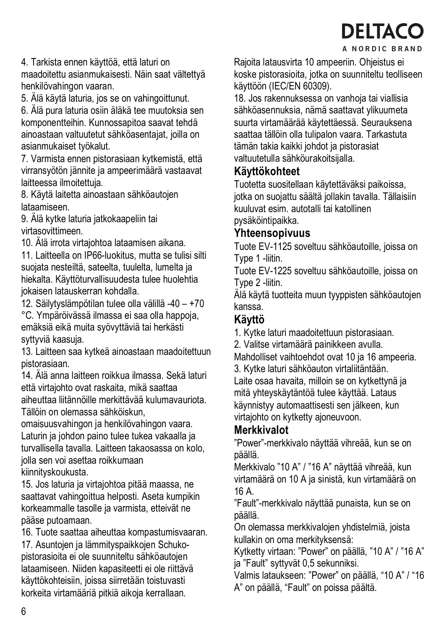### **DELTACO**

A NORDIC BRAND

4. Tarkista ennen käyttöä, että laturi on maadoitettu asianmukaisesti. Näin saat vältettyä henkilövahingon vaaran.

5. Älä käytä laturia, jos se on vahingoittunut.

6. Älä pura laturia osiin äläkä tee muutoksia sen komponentteihin. Kunnossapitoa saavat tehdä ainoastaan valtuutetut sähköasentajat, joilla on asianmukaiset työkalut.

7. Varmista ennen pistorasiaan kytkemistä, että virransyötön jännite ja ampeerimäärä vastaavat laitteessa ilmoitettuja.

8. Käytä laitetta ainoastaan sähköautojen lataamiseen.

9. Älä kytke laturia jatkokaapeliin tai virtasovittimeen.

10. Älä irrota virtajohtoa lataamisen aikana.

11. Laitteella on IP66-luokitus, mutta se tulisi silti suojata nesteiltä, sateelta, tuulelta, lumelta ja hiekalta. Käyttöturvallisuudesta tulee huolehtia jokaisen latauskerran kohdalla.

12. Säilytyslämpötilan tulee olla välillä -40 – +70 °C. Ympäröivässä ilmassa ei saa olla happoja,

emäksiä eikä muita syövyttäviä tai herkästi syttyviä kaasuja.

13. Laitteen saa kytkeä ainoastaan maadoitettuun pistorasiaan.

14. Älä anna laitteen roikkua ilmassa. Sekä laturi että virtajohto ovat raskaita, mikä saattaa aiheuttaa liitännöille merkittävää kulumavauriota. Tällöin on olemassa sähköiskun,

omaisuusvahingon ja henkilövahingon vaara. Laturin ja johdon paino tulee tukea vakaalla ja turvallisella tavalla. Laitteen takaosassa on kolo, jolla sen voi asettaa roikkumaan kiinnityskoukusta.

15. Jos laturia ja virtajohtoa pitää maassa, ne saattavat vahingoittua helposti. Aseta kumpikin korkeammalle tasolle ja varmista, etteivät ne pääse putoamaan.

16. Tuote saattaa aiheuttaa kompastumisvaaran.

17. Asuntojen ja lämmityspaikkojen Schukopistorasioita ei ole suunniteltu sähköautojen lataamiseen. Niiden kapasiteetti ei ole riittävä käyttökohteisiin, joissa siirretään toistuvasti korkeita virtamääriä pitkiä aikoja kerrallaan.

Rajoita latausvirta 10 ampeeriin. Ohjeistus ei koske pistorasioita, jotka on suunniteltu teolliseen käyttöön (IEC/EN 60309).

18. Jos rakennuksessa on vanhoja tai viallisia sähköasennuksia, nämä saattavat ylikuumeta suurta virtamäärää käytettäessä. Seurauksena saattaa tällöin olla tulipalon vaara. Tarkastuta tämän takia kaikki johdot ja pistorasiat valtuutetulla sähköurakoitsijalla.

#### **Käyttökohteet**

Tuotetta suositellaan käytettäväksi paikoissa, jotka on suojattu säältä jollakin tavalla. Tällaisiin kuuluvat esim. autotalli tai katollinen pysäköintipaikka.

#### **Yhteensopivuus**

Tuote EV-1125 soveltuu sähköautoille, joissa on Type 1 -liitin.

Tuote EV-1225 soveltuu sähköautoille, joissa on Type 2 -liitin.

Älä käytä tuotteita muun tyyppisten sähköautojen kanssa.

#### **Käyttö**

1. Kytke laturi maadoitettuun pistorasiaan.

2. Valitse virtamäärä painikkeen avulla.

Mahdolliset vaihtoehdot ovat 10 ja 16 ampeeria.

3. Kytke laturi sähköauton virtaliitäntään. Laite osaa havaita, milloin se on kytkettynä ja

mitä yhteyskäytäntöä tulee käyttää. Lataus käynnistyy automaattisesti sen jälkeen, kun virtajohto on kytketty ajoneuvoon.

#### **Merkkivalot**

"Power"-merkkivalo näyttää vihreää, kun se on päällä.

Merkkivalo "10 A" / "16 A" näyttää vihreää, kun virtamäärä on 10 A ja sinistä, kun virtamäärä on 16 A.

"Fault"-merkkivalo näyttää punaista, kun se on päällä.

On olemassa merkkivalojen yhdistelmiä, joista kullakin on oma merkityksensä:

Kytketty virtaan: "Power" on päällä, "10 A" / "16 A" ja "Fault" syttyvät 0,5 sekunniksi.

Valmis lataukseen: "Power" on päällä, "10 A" / "16 A" on päällä, "Fault" on poissa päältä.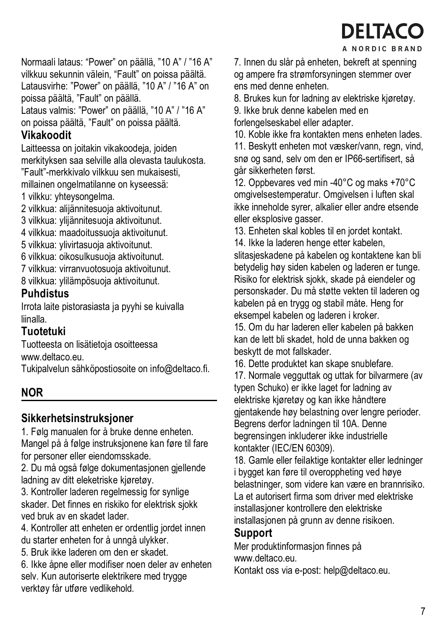### **DEITACO**

A NORDIC BRAND

Normaali lataus: "Power" on päällä, "10 A" / "16 A" vilkkuu sekunnin välein, "Fault" on poissa päältä. Latausvirhe: "Power" on päällä, "10 A" / "16 A" on poissa päältä, "Fault" on päällä.

Lataus valmis: "Power" on päällä, "10 A" / "16 A" on poissa päältä, "Fault" on poissa päältä.

#### **Vikakoodit**

Laitteessa on joitakin vikakoodeja, joiden merkityksen saa selville alla olevasta taulukosta. "Fault"-merkkivalo vilkkuu sen mukaisesti,

millainen ongelmatilanne on kyseessä:

1 vilkku: yhteysongelma.

2 vilkkua: alijännitesuoja aktivoitunut.

3 vilkkua: ylijännitesuoja aktivoitunut.

4 vilkkua: maadoitussuoja aktivoitunut.

5 vilkkua: ylivirtasuoja aktivoitunut.

6 vilkkua: oikosulkusuoja aktivoitunut.

7 vilkkua: virranvuotosuoja aktivoitunut.

8 vilkkua: ylilämpösuoja aktivoitunut.

#### **Puhdistus**

Irrota laite pistorasiasta ja pyyhi se kuivalla liinalla.

#### **Tuotetuki**

Tuotteesta on lisätietoja osoitteessa www.deltaco.eu.

Tukipalvelun sähköpostiosoite on info@deltaco.fi.

### **NOR**

#### **Sikkerhetsinstruksjoner**

1. Følg manualen for å bruke denne enheten. Mangel på å følge instruksjonene kan føre til fare for personer eller eiendomsskade.

2. Du må også følge dokumentasjonen gjellende ladning av ditt eleketriske kjøretøy.

3. Kontroller laderen regelmessig for synlige skader. Det finnes en riskiko for elektrisk sjokk ved bruk av en skadet lader.

4. Kontroller att enheten er ordentlig jordet innen du starter enheten for å unngå ulykker.

5. Bruk ikke laderen om den er skadet.

6. Ikke åpne eller modifiser noen deler av enheten selv. Kun autoriserte elektrikere med trygge verktøy får utføre vedlikehold.

7. Innen du slår på enheten, bekreft at spenning og ampere fra strømforsyningen stemmer over ens med denne enheten.

8. Brukes kun for ladning av elektriske kjøretøy.

9. Ikke bruk denne kabelen med en forlengelseskabel eller adapter.

10. Koble ikke fra kontakten mens enheten lades. 11. Beskytt enheten mot væsker/vann, regn, vind, snø og sand, selv om den er IP66-sertifisert, så går sikkerheten først.

12. Oppbevares ved min -40°C og maks +70°C omgivelsestemperatur. Omgivelsen i luften skal ikke inneholde syrer, alkalier eller andre etsende eller eksplosive gasser.

13. Enheten skal kobles til en jordet kontakt.

14. Ikke la laderen henge etter kabelen, slitasjeskadene på kabelen og kontaktene kan bli

betydelig høy siden kabelen og laderen er tunge. Risiko for elektrisk sjokk, skade på eiendeler og personskader. Du må støtte vekten til laderen og kabelen på en trygg og stabil måte. Heng for eksempel kabelen og laderen i kroker.

15. Om du har laderen eller kabelen på bakken kan de lett bli skadet, hold de unna bakken og beskytt de mot fallskader.

16. Dette produktet kan skape snublefare.

17. Normale vegguttak og uttak for bilvarmere (av typen Schuko) er ikke laget for ladning av elektriske kjøretøy og kan ikke håndtere gjentakende høy belastning over lengre perioder. Begrens derfor ladningen til 10A. Denne begrensingen inkluderer ikke industrielle kontakter (IEC/EN 60309).

18. Gamle eller feilaktige kontakter eller ledninger i bygget kan føre til overoppheting ved høye belastninger, som videre kan være en brannrisiko. La et autorisert firma som driver med elektriske installasjoner kontrollere den elektriske

installasjonen på grunn av denne risikoen.

#### **Support**

Mer produktinformasjon finnes på www.deltaco.eu.

Kontakt oss via e-post: help@deltaco.eu.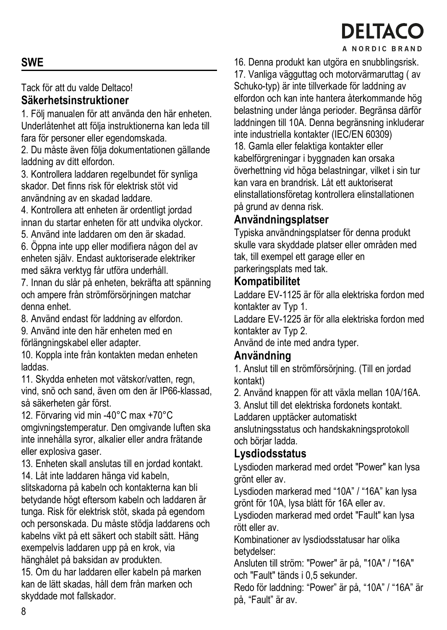#### **SWE**

Tack för att du valde Deltaco!

#### **Säkerhetsinstruktioner**

1. Följ manualen för att använda den här enheten. Underlåtenhet att följa instruktionerna kan leda till fara för personer eller egendomskada.

2. Du måste även följa dokumentationen gällande laddning av ditt elfordon.

3. Kontrollera laddaren regelbundet för synliga skador. Det finns risk för elektrisk stöt vid användning av en skadad laddare.

4. Kontrollera att enheten är ordentligt jordad innan du startar enheten för att undvika olyckor. 5. Använd inte laddaren om den är skadad.

6. Öppna inte upp eller modifiera någon del av enheten själv. Endast auktoriserade elektriker med säkra verktyg får utföra underhåll.

7. Innan du slår på enheten, bekräfta att spänning och ampere från strömförsörjningen matchar denna enhet.

8. Använd endast för laddning av elfordon.

9. Använd inte den här enheten med en förlängningskabel eller adapter.

10. Koppla inte från kontakten medan enheten laddas.

11. Skydda enheten mot vätskor/vatten, regn, vind, snö och sand, även om den är IP66-klassad, så säkerheten går först.

12. Förvaring vid min -40°C max +70°C omgivningstemperatur. Den omgivande luften ska inte innehålla syror, alkalier eller andra frätande eller explosiva gaser.

13. Enheten skall anslutas till en jordad kontakt. 14. Låt inte laddaren hänga vid kabeln,

slitskadorna på kabeln och kontakterna kan bli betydande högt eftersom kabeln och laddaren är tunga. Risk för elektrisk stöt, skada på egendom och personskada. Du måste stödja laddarens och kabelns vikt på ett säkert och stabilt sätt. Häng exempelvis laddaren upp på en krok, via hänghålet på baksidan av produkten.

15. Om du har laddaren eller kabeln på marken kan de lätt skadas, håll dem från marken och skyddade mot fallskador.

## **DELTACO**

A NORDIC BRAND

16. Denna produkt kan utgöra en snubblingsrisk.

17. Vanliga vägguttag och motorvärmaruttag ( av Schuko-typ) är inte tillverkade för laddning av elfordon och kan inte hantera återkommande hög belastning under långa perioder. Begränsa därför laddningen till 10A. Denna begränsning inkluderar inte industriella kontakter (IEC/EN 60309) 18. Gamla eller felaktiga kontakter eller kabelförgreningar i byggnaden kan orsaka överhettning vid höga belastningar, vilket i sin tur kan vara en brandrisk. Låt ett auktoriserat elinstallationsföretag kontrollera elinstallationen på grund av denna risk.

#### **Användningsplatser**

Typiska användningsplatser för denna produkt skulle vara skyddade platser eller områden med tak, till exempel ett garage eller en parkeringsplats med tak.

#### **Kompatibilitet**

Laddare EV-1125 är för alla elektriska fordon med kontakter av Typ 1.

Laddare EV-1225 är för alla elektriska fordon med kontakter av Typ 2.

Använd de inte med andra typer.

#### **Användning**

1. Anslut till en strömförsörjning. (Till en jordad kontakt)

2. Använd knappen för att växla mellan 10A/16A.

3. Anslut till det elektriska fordonets kontakt.

Laddaren upptäcker automatiskt

anslutningsstatus och handskakningsprotokoll och börjar ladda.

#### **Lysdiodsstatus**

Lysdioden markerad med ordet "Power" kan lysa grönt eller av.

Lysdioden markerad med "10A" / "16A" kan lysa grönt för 10A, lysa blått för 16A eller av.

Lysdioden markerad med ordet "Fault" kan lysa rött eller av.

Kombinationer av lysdiodsstatusar har olika betydelser:

Ansluten till ström: "Power" är på, "10A" / "16A" och "Fault" tänds i 0,5 sekunder.

Redo för laddning: "Power" är på, "10A" / "16A" är på, "Fault" är av.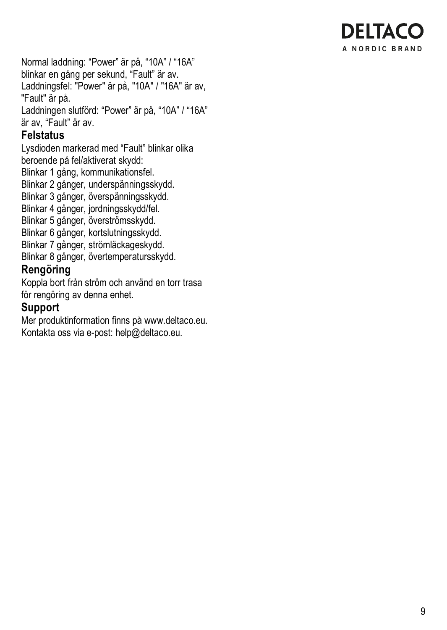

Normal laddning: "Power" är på, "10A" / "16A" blinkar en gång per sekund, "Fault" är av. Laddningsfel: "Power" är på, "10A" / "16A" är av, "Fault" är på. Laddningen slutförd: "Power" är på, "10A" / "16A"

är av, "Fault" är av.

#### **Felstatus**

Lysdioden markerad med "Fault" blinkar olika

beroende på fel/aktiverat skydd:

Blinkar 1 gång, kommunikationsfel.

Blinkar 2 gånger, underspänningsskydd.

Blinkar 3 gånger, överspänningsskydd.

Blinkar 4 gånger, jordningsskydd/fel.

Blinkar 5 gånger, överströmsskydd.

Blinkar 6 gånger, kortslutningsskydd.

Blinkar 7 gånger, strömläckageskydd.

Blinkar 8 gånger, övertemperatursskydd.

#### **Rengöring**

Koppla bort från ström och använd en torr trasa för rengöring av denna enhet.

#### **Support**

Mer produktinformation finns på www.deltaco.eu. Kontakta oss via e-post: help@deltaco.eu.